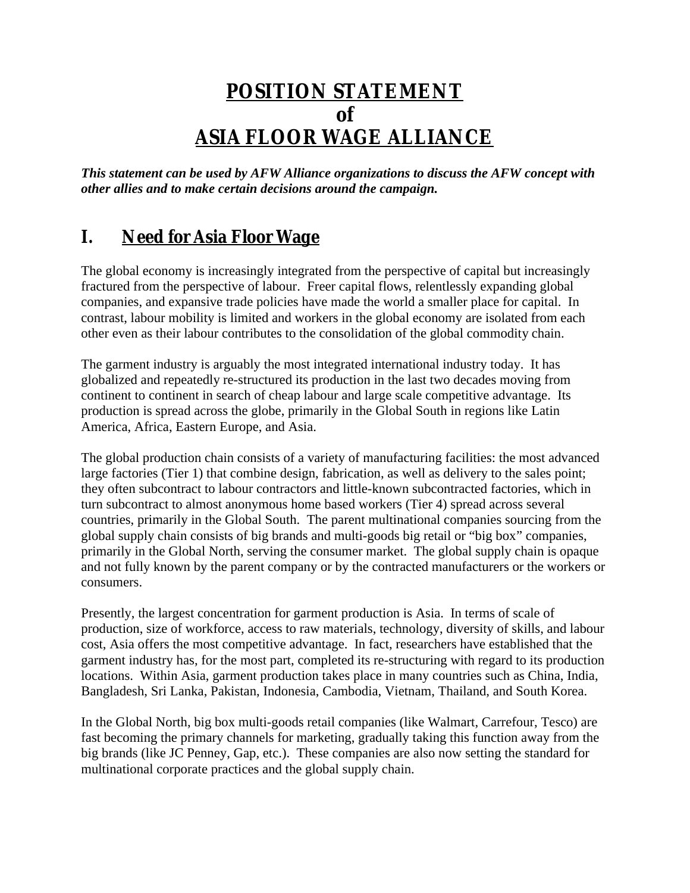# **POSITION STATEMENT of ASIA FLOOR WAGE ALLIANCE**

*This statement can be used by AFW Alliance organizations to discuss the AFW concept with other allies and to make certain decisions around the campaign.*

# **I. Need for Asia Floor Wage**

The global economy is increasingly integrated from the perspective of capital but increasingly fractured from the perspective of labour. Freer capital flows, relentlessly expanding global companies, and expansive trade policies have made the world a smaller place for capital. In contrast, labour mobility is limited and workers in the global economy are isolated from each other even as their labour contributes to the consolidation of the global commodity chain.

The garment industry is arguably the most integrated international industry today. It has globalized and repeatedly re-structured its production in the last two decades moving from continent to continent in search of cheap labour and large scale competitive advantage. Its production is spread across the globe, primarily in the Global South in regions like Latin America, Africa, Eastern Europe, and Asia.

The global production chain consists of a variety of manufacturing facilities: the most advanced large factories (Tier 1) that combine design, fabrication, as well as delivery to the sales point; they often subcontract to labour contractors and little-known subcontracted factories, which in turn subcontract to almost anonymous home based workers (Tier 4) spread across several countries, primarily in the Global South. The parent multinational companies sourcing from the global supply chain consists of big brands and multi-goods big retail or "big box" companies, primarily in the Global North, serving the consumer market. The global supply chain is opaque and not fully known by the parent company or by the contracted manufacturers or the workers or consumers.

Presently, the largest concentration for garment production is Asia. In terms of scale of production, size of workforce, access to raw materials, technology, diversity of skills, and labour cost, Asia offers the most competitive advantage. In fact, researchers have established that the garment industry has, for the most part, completed its re-structuring with regard to its production locations. Within Asia, garment production takes place in many countries such as China, India, Bangladesh, Sri Lanka, Pakistan, Indonesia, Cambodia, Vietnam, Thailand, and South Korea.

In the Global North, big box multi-goods retail companies (like Walmart, Carrefour, Tesco) are fast becoming the primary channels for marketing, gradually taking this function away from the big brands (like JC Penney, Gap, etc.). These companies are also now setting the standard for multinational corporate practices and the global supply chain.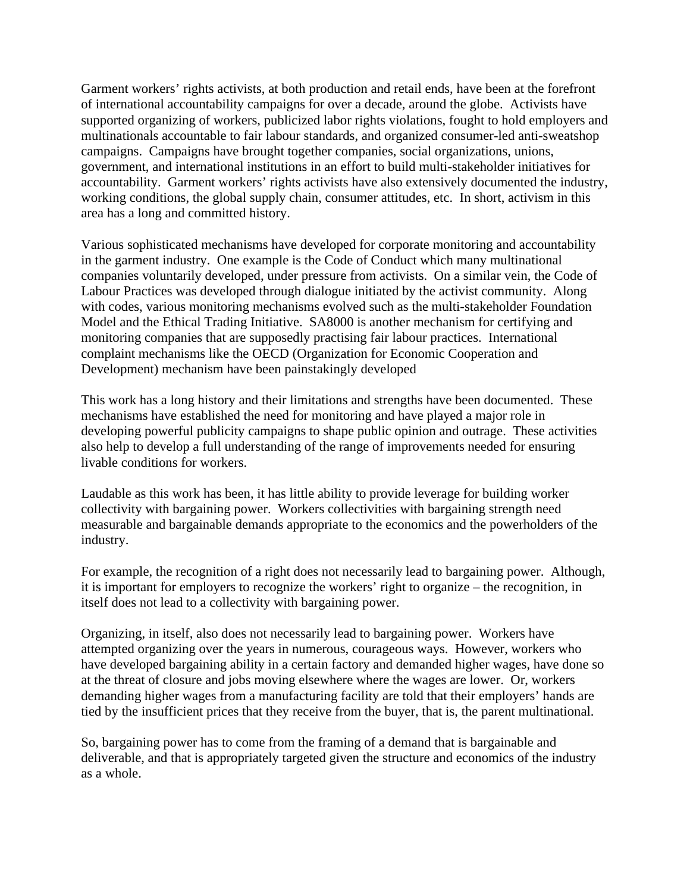Garment workers' rights activists, at both production and retail ends, have been at the forefront of international accountability campaigns for over a decade, around the globe. Activists have supported organizing of workers, publicized labor rights violations, fought to hold employers and multinationals accountable to fair labour standards, and organized consumer-led anti-sweatshop campaigns. Campaigns have brought together companies, social organizations, unions, government, and international institutions in an effort to build multi-stakeholder initiatives for accountability. Garment workers' rights activists have also extensively documented the industry, working conditions, the global supply chain, consumer attitudes, etc. In short, activism in this area has a long and committed history.

Various sophisticated mechanisms have developed for corporate monitoring and accountability in the garment industry. One example is the Code of Conduct which many multinational companies voluntarily developed, under pressure from activists. On a similar vein, the Code of Labour Practices was developed through dialogue initiated by the activist community. Along with codes, various monitoring mechanisms evolved such as the multi-stakeholder Foundation Model and the Ethical Trading Initiative. SA8000 is another mechanism for certifying and monitoring companies that are supposedly practising fair labour practices. International complaint mechanisms like the OECD (Organization for Economic Cooperation and Development) mechanism have been painstakingly developed

This work has a long history and their limitations and strengths have been documented. These mechanisms have established the need for monitoring and have played a major role in developing powerful publicity campaigns to shape public opinion and outrage. These activities also help to develop a full understanding of the range of improvements needed for ensuring livable conditions for workers.

Laudable as this work has been, it has little ability to provide leverage for building worker collectivity with bargaining power. Workers collectivities with bargaining strength need measurable and bargainable demands appropriate to the economics and the powerholders of the industry.

For example, the recognition of a right does not necessarily lead to bargaining power. Although, it is important for employers to recognize the workers' right to organize – the recognition, in itself does not lead to a collectivity with bargaining power.

Organizing, in itself, also does not necessarily lead to bargaining power. Workers have attempted organizing over the years in numerous, courageous ways. However, workers who have developed bargaining ability in a certain factory and demanded higher wages, have done so at the threat of closure and jobs moving elsewhere where the wages are lower. Or, workers demanding higher wages from a manufacturing facility are told that their employers' hands are tied by the insufficient prices that they receive from the buyer, that is, the parent multinational.

So, bargaining power has to come from the framing of a demand that is bargainable and deliverable, and that is appropriately targeted given the structure and economics of the industry as a whole.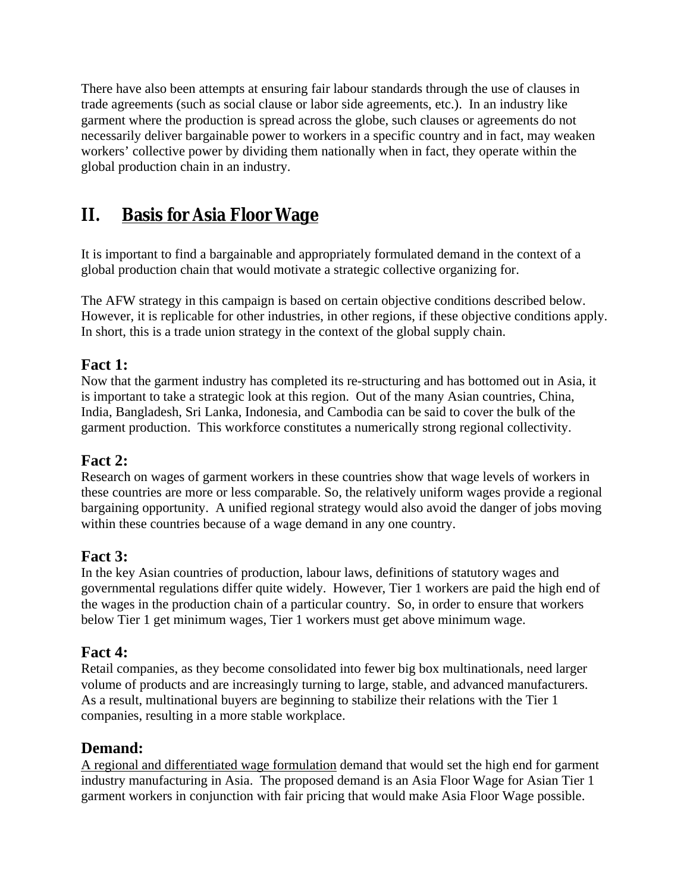There have also been attempts at ensuring fair labour standards through the use of clauses in trade agreements (such as social clause or labor side agreements, etc.). In an industry like garment where the production is spread across the globe, such clauses or agreements do not necessarily deliver bargainable power to workers in a specific country and in fact, may weaken workers' collective power by dividing them nationally when in fact, they operate within the global production chain in an industry.

# **II. Basis for Asia Floor Wage**

It is important to find a bargainable and appropriately formulated demand in the context of a global production chain that would motivate a strategic collective organizing for.

The AFW strategy in this campaign is based on certain objective conditions described below. However, it is replicable for other industries, in other regions, if these objective conditions apply. In short, this is a trade union strategy in the context of the global supply chain.

### **Fact 1:**

Now that the garment industry has completed its re-structuring and has bottomed out in Asia, it is important to take a strategic look at this region. Out of the many Asian countries, China, India, Bangladesh, Sri Lanka, Indonesia, and Cambodia can be said to cover the bulk of the garment production. This workforce constitutes a numerically strong regional collectivity.

### **Fact 2:**

Research on wages of garment workers in these countries show that wage levels of workers in these countries are more or less comparable. So, the relatively uniform wages provide a regional bargaining opportunity. A unified regional strategy would also avoid the danger of jobs moving within these countries because of a wage demand in any one country.

### **Fact 3:**

In the key Asian countries of production, labour laws, definitions of statutory wages and governmental regulations differ quite widely. However, Tier 1 workers are paid the high end of the wages in the production chain of a particular country. So, in order to ensure that workers below Tier 1 get minimum wages, Tier 1 workers must get above minimum wage.

#### **Fact 4:**

Retail companies, as they become consolidated into fewer big box multinationals, need larger volume of products and are increasingly turning to large, stable, and advanced manufacturers. As a result, multinational buyers are beginning to stabilize their relations with the Tier 1 companies, resulting in a more stable workplace.

#### **Demand:**

A regional and differentiated wage formulation demand that would set the high end for garment industry manufacturing in Asia. The proposed demand is an Asia Floor Wage for Asian Tier 1 garment workers in conjunction with fair pricing that would make Asia Floor Wage possible.